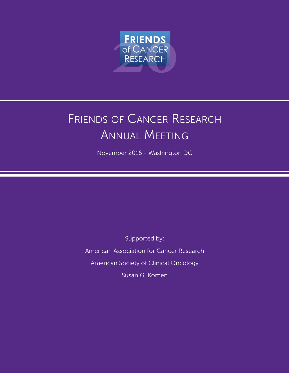

# FRIENDS OF CANCER RESEARCH annual Meeting

November 2016 - Washington DC

supported by: American Association for Cancer Research American Society of Clinical Oncology susan g. Komen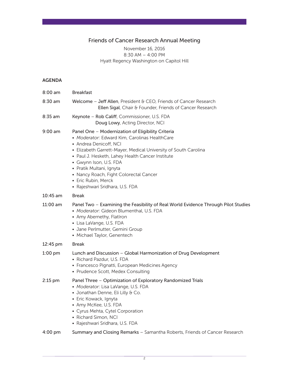### Friends of Cancer Research Annual Meeting

#### November 16, 2016 8:30 aM – 4:00 PM Hyatt Regency Washington on Capitol Hill

#### AGENDA

| $8:00$ am  | <b>Breakfast</b>                                                                                                                                                                                                                                                                                                                                                                                              |  |
|------------|---------------------------------------------------------------------------------------------------------------------------------------------------------------------------------------------------------------------------------------------------------------------------------------------------------------------------------------------------------------------------------------------------------------|--|
| $8:30$ am  | Welcome - Jeff Allen, President & CEO, Friends of Cancer Research<br>Ellen Sigal, Chair & Founder, Friends of Cancer Research                                                                                                                                                                                                                                                                                 |  |
| 8:35 am    | Keynote - Rob Califf, Commissioner, U.S. FDA<br>Doug Lowy, Acting Director, NCI                                                                                                                                                                                                                                                                                                                               |  |
| $9:00$ am  | Panel One - Modernization of Eligibility Criteria<br>• Moderator: Edward Kim, Carolinas HealthCare<br>• Andrea Denicoff, NCI<br>• Elizabeth Garrett-Mayer, Medical University of South Carolina<br>• Paul J. Hesketh, Lahey Health Cancer Institute<br>• Gwynn Ison, U.S. FDA<br>• Pratik Multani, Ignyta<br>• Nancy Roach, Fight Colorectal Cancer<br>• Eric Rubin, Merck<br>· Rajeshwari Sridhara, U.S. FDA |  |
| $10:45$ am | <b>Break</b>                                                                                                                                                                                                                                                                                                                                                                                                  |  |
| $11:00$ am | Panel Two - Examining the Feasibility of Real World Evidence Through Pilot Studies<br>• Moderator: Gideon Blumenthal, U.S. FDA<br>• Amy Abernethy, Flatlron<br>• Lisa LaVange, U.S. FDA<br>· Jane Perlmutter, Gemini Group<br>• Michael Taylor, Genentech                                                                                                                                                     |  |
| 12:45 pm   | <b>Break</b>                                                                                                                                                                                                                                                                                                                                                                                                  |  |
| $1:00$ pm  | Lunch and Discussion - Global Harmonization of Drug Development<br>• Richard Pazdur, U.S. FDA<br>• Francesco Pignatti, European Medicines Agency<br>• Prudence Scott, Medex Consulting                                                                                                                                                                                                                        |  |
| $2:15$ pm  | Panel Three - Optimization of Exploratory Randomized Trials<br>• Moderator: Lisa LaVange, U.S. FDA<br>• Jonathan Denne, Eli Lilly & Co.<br>• Eric Kowack, Ignyta<br>• Amy McKee, U.S. FDA<br>• Cyrus Mehta, Cytel Corporation<br>• Richard Simon, NCI<br>• Rajeshwari Sridhara, U.S. FDA                                                                                                                      |  |
| 4:00 pm    | Summary and Closing Remarks - Samantha Roberts, Friends of Cancer Research                                                                                                                                                                                                                                                                                                                                    |  |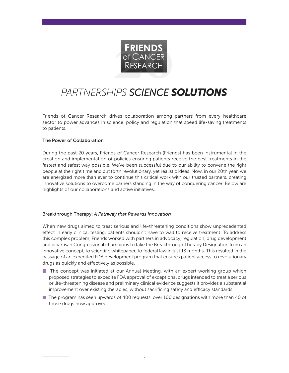

## PARTNERSHIPS SCIENCE SOLUTIONS

Friends of Cancer Research drives collaboration among partners from every healthcare sector to power advances in science, policy and regulation that speed life-saving treatments to patients.

#### The Power of Collaboration

During the past 20 years, Friends of Cancer Research (Friends) has been instrumental in the creation and implementation of policies ensuring patients receive the best treatments in the fastest and safest way possible. We've been successful due to our ability to convene the right people at the right time and put forth revolutionary, yet realistic ideas. Now, in our 20th year, we are energized more than ever to continue this critical work with our trusted partners, creating innovative solutions to overcome barriers standing in the way of conquering cancer. Below are highlights of our collaborations and active initiatives.

#### Breakthrough Therapy: *A Pathway that Rewards Innovation*

When new drugs aimed to treat serious and life-threatening conditions show unprecedented effect in early clinical testing, patients shouldn't have to wait to receive treatment. To address this complex problem, Friends worked with partners in advocacy, regulation, drug development and bipartisan Congressional champions to take the Breakthrough Therapy Designation from an innovative concept, to scientific whitepaper, to federal law in just 13 months. This resulted in the passage of an expedited FDA development program that ensures patient access to revolutionary drugs as quickly and effectively as possible.

- $\blacksquare$  The concept was initiated at our Annual Meeting, with an expert working group which proposed strategies to expedite Fda approval of exceptional drugs intended to treat a serious or life-threatening disease and preliminary clinical evidence suggests it provides a substantial improvement over existing therapies, without sacrificing safety and efficacy standards
- $\blacksquare$  The program has seen upwards of 400 requests, over 100 designations with more than 40 of those drugs now approved.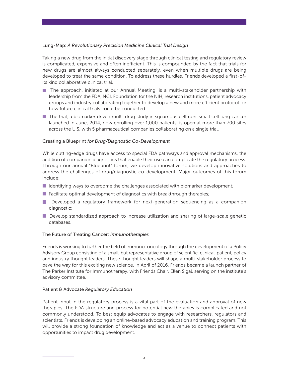#### Lung-Map: *A Revolutionary Precision Medicine Clinical Trial Design*

Taking a new drug from the initial discovery stage through clinical testing and regulatory review is complicated, expensive and often inefficient. This is compounded by the fact that trials for new drugs are almost always conducted separately, even when multiple drugs are being developed to treat the same condition. To address these hurdles, Friends developed a first-ofits kind collaborative clinical trial.

- $\blacksquare$  The approach, initiated at our Annual Meeting, is a multi-stakeholder partnership with leadership from the FDA, NCI, Foundation for the NIH, research institutions, patient advocacy groups and industry collaborating together to develop a new and more efficient protocol for how future clinical trials could be conducted.
- $\blacksquare$  The trial, a biomarker driven multi-drug study in squamous cell non-small cell lung cancer launched in June, 2014, now enrolling over 1,000 patients, is open at more than 700 sites across the U.S. with 5 pharmaceutical companies collaborating on a single trial.

#### Creating a Blueprint *for Drug/Diagnostic Co-Development*

While cutting-edge drugs have access to special FDA pathways and approval mechanisms, the addition of companion diagnostics that enable their use can complicate the regulatory process. through our annual "Blueprint" forum, we develop innovative solutions and approaches to address the challenges of drug/diagnostic co-development. Major outcomes of this forum include:

- $\blacksquare$  Identifying ways to overcome the challenges associated with biomarker development;
- **Facilitate optimal development of diagnostics with breakthrough therapies;**
- $\blacksquare$  Developed a regulatory framework for next-generation sequencing as a companion diagnostic;
- $\blacksquare$  Develop standardized approach to increase utilization and sharing of large-scale genetic databases.

#### The Future of Treating Cancer: *Immunotherapies*

Friends is working to further the field of immuno-oncology through the development of a Policy Advisory Group consisting of a small, but representative group of scientific, clinical, patient, policy and industry thought leaders. These thought leaders will shape a multi-stakeholder process to pave the way for this exciting new science. In April of 2016, Friends became a launch partner of The Parker Institute for Immunotherapy, with Friends Chair, Ellen Sigal, serving on the institute's advisory committee.

#### Patient & Advocate *Regulatory Education*

Patient input in the regulatory process is a vital part of the evaluation and approval of new therapies. The FDA structure and process for potential new therapies is complicated and not commonly understood. To best equip advocates to engage with researchers, regulators and scientists, Friends is developing an online-based advocacy education and training program. this will provide a strong foundation of knowledge and act as a venue to connect patients with opportunities to impact drug development.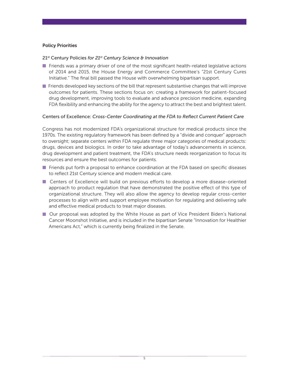#### Policy Priorities

#### 21st Century Policies *for 21st Century Science & Innovation*

- Friends was a primary driver of one of the most significant health-related legislative actions of 2014 and 2015, the house energy and Commerce Committee's "21st Century Cures Initiative." The final bill passed the House with overwhelming bipartisan support.
- $\blacksquare$  Friends developed key sections of the bill that represent substantive changes that will improve outcomes for patients. These sections focus on: creating a framework for patient-focused drug development, improving tools to evaluate and advance precision medicine, expanding FDA flexibility and enhancing the ability for the agency to attract the best and brightest talent.

#### Centers of Excellence: *Cross-Center Coordinating at the FDA to Reflect Current Patient Care*

Congress has not modernized FDA's organizational structure for medical products since the 1970s. The existing regulatory framework has been defined by a "divide and conquer" approach to oversight; separate centers within FDA regulate three major categories of medical products: drugs, devices and biologics. in order to take advantage of today's advancements in science, drug development and patient treatment, the FDA's structure needs reorganization to focus its resources and ensure the best outcomes for patients.

- **F** Friends put forth a proposal to enhance coordination at the FDA based on specific diseases to reflect 21st Century science and modern medical care.
- **E** Centers of Excellence will build on previous efforts to develop a more disease-oriented approach to product regulation that have demonstrated the positive effect of this type of organizational structure. They will also allow the agency to develop regular cross-center processes to align with and support employee motivation for regulating and delivering safe and effective medical products to treat major diseases.
- **Our proposal was adopted by the White House as part of Vice President Biden's National** Cancer Moonshot initiative, and is included in the bipartisan senate "innovation for healthier Americans Act," which is currently being finalized in the Senate.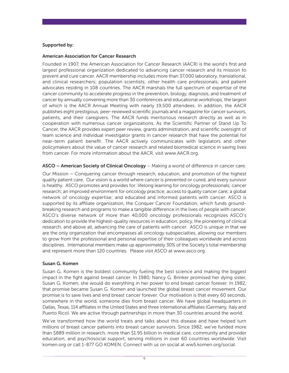#### Supported by:

#### American Association for Cancer Research

Founded in 1907, the American Association for Cancer Research (AACR) is the world's first and largest professional organization dedicated to advancing cancer research and its mission to prevent and cure cancer. AACR membership includes more than 37,000 laboratory, translational, and clinical researchers; population scientists; other health care professionals; and patient advocates residing in 108 countries. The AACR marshals the full spectrum of expertise of the cancer community to accelerate progress in the prevention, biology, diagnosis, and treatment of cancer by annually convening more than 30 conferences and educational workshops, the largest of which is the AACR Annual Meeting with nearly 19,500 attendees. In addition, the AACR publishes eight prestigious, peer-reviewed scientific journals and a magazine for cancer survivors, patients, and their caregivers. The AACR funds meritorious research directly as well as in cooperation with numerous cancer organizations. As the Scientific Partner of Stand Up To Cancer, the AACR provides expert peer review, grants administration, and scientific oversight of team science and individual investigator grants in cancer research that have the potential for near-term patient benefit. The AACR actively communicates with legislators and other policymakers about the value of cancer research and related biomedical science in saving lives from cancer. For more information about the AACR, visit www.AACR.org.

ASCO – American Society of Clinical Oncology – Making a world of difference in cancer care.

Our Mission – Conquering cancer through research, education, and promotion of the highest quality patient care. Our vision is a world where cancer is prevented or cured, and every survivor is healthy. asCo promotes and provides for: lifelong learning for oncology professionals; cancer research; an improved environment for oncology practice; access to quality cancer care; a global network of oncology expertise; and educated and informed patients with cancer. asCo is supported by its affiliate organization, the Conquer Cancer Foundation, which funds groundbreaking research and programs to make a tangible difference in the lives of people with cancer. asCo's diverse network of more than 40,000 oncology professionals recognizes asCo's dedication to provide the highest-quality resources in education, policy, the pioneering of clinical research, and above all, advancing the care of patients with cancer. asCo is unique in that we are the only organization that encompasses all oncology subspecialties, allowing our members to grow from the professional and personal expertise of their colleagues worldwide and across disciplines. international members make up approximately 30% of the society's total membership and represent more than 120 countries. Please visit ASCO at www.asco.org.

#### Susan G. Komen

Susan G. Komen is the boldest community fueling the best science and making the biggest impact in the fight against breast cancer. In 1980, Nancy G. Brinker promised her dying sister, Susan G. Komen, she would do everything in her power to end breast cancer forever. In 1982, that promise became Susan G. Komen and launched the global breast cancer movement. Our promise is to save lives and end breast cancer forever. Our motivation is that every 60 seconds, somewhere in the world, someone dies from breast cancer. We have global headquarters in Dallas, Texas, 114 affiliates in the United States and three international affiliates (Germany, Italy and Puerto Rico). We are active through partnerships in more than 30 countries around the world.

We've transformed how the world treats and talks about this disease and have helped turn millions of breast cancer patients into breast cancer survivors. since 1982, we've funded more than \$889 million in research, more than \$1.95 billion in medical care, community and provider education, and psychosocial support, serving millions in over 60 countries worldwide. Visit komen.org or call 1-877 GO KOMEN. Connect with us on social at ww5.komen.org/social.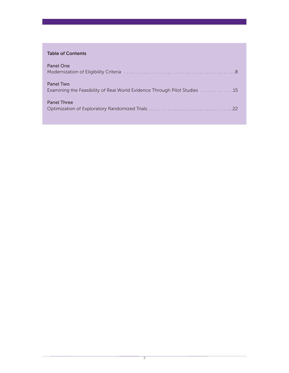#### Table of Contents

| Panel One                                                                              |
|----------------------------------------------------------------------------------------|
| Panel Two<br>Examining the Feasibility of Real World Evidence Through Pilot Studies 15 |
| <b>Panel Three</b>                                                                     |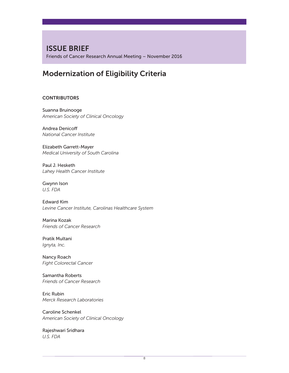## ISSUE BRIEF

Friends of Cancer Research Annual Meeting – November 2016

## Modernization of Eligibility Criteria

#### **CONTRIBUTORS**

Suanna Bruinooge *American Society of Clinical Oncology*

Andrea Denicoff *National Cancer Institute*

Elizabeth Garrett-Mayer *Medical University of South Carolina*

Paul J. Hesketh *Lahey Health Cancer Institute*

Gwynn Ison *U.S. FDA*

Edward Kim *Levine Cancer Institute, Carolinas Healthcare System*

Marina Kozak *Friends of Cancer Research*

Pratik Multani *Ignyta, Inc.*

Nancy Roach *Fight Colorectal Cancer*

Samantha Roberts *Friends of Cancer Research*

Eric Rubin *Merck Research Laboratories*

Caroline Schenkel *American Society of Clinical Oncology*

Rajeshwari Sridhara *U.S. FDA*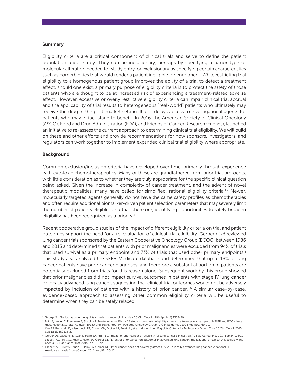#### Summary

eligibility criteria are a critical component of clinical trials and serve to define the patient population under study. They can be inclusionary, perhaps by specifying a tumor type or molecular alteration needed for study entry, or exclusionary by specifying certain characteristics such as comorbidities that would render a patient ineligible for enrollment. While restricting trial eligibility to a homogenous patient group improves the ability of a trial to detect a treatment effect, should one exist, a primary purpose of eligibility criteria is to protect the safety of those patients who are thought to be at increased risk of experiencing a treatment-related adverse effect. however, excessive or overly restrictive eligibility criteria can impair clinical trial accrual and the applicability of trial results to heterogeneous "real-world" patients who ultimately may receive the drug in the post-market setting. it also delays access to investigational agents for patients who may in fact stand to benefit. in 2016, the american society of Clinical oncology (ASCO), Food and Drug Administration (FDA), and Friends of Cancer Research (Friends), launched an initiative to re-assess the current approach to determining clinical trial eligibility. We will build on these and other efforts and provide recommendations for how sponsors, investigators, and regulators can work together to implement expanded clinical trial eligibility where appropriate.

#### Background

Common exclusion/inclusion criteria have developed over time, primarily through experience with cytotoxic chemotherapeutics. Many of these are grandfathered from prior trial protocols, with little consideration as to whether they are truly appropriate for the specific clinical question being asked. given the increase in complexity of cancer treatment, and the advent of novel therapeutic modalities, many have called for simplified, rational eligibility criteria.<sup>1,2</sup> Newer, molecularly targeted agents generally do not have the same safety profiles as chemotherapies and often require additional biomarker-driven patient selection parameters that may severely limit the number of patients eligible for a trial; therefore, identifying opportunities to safely broaden eligibility has been recognized as a priority.<sup>3</sup>

Recent cooperative group studies of the impact of different eligibility criteria on trial and patient outcomes support the need for a re-evaluation of clinical trial eligibility. gerber *et al* reviewed lung cancer trials sponsored by the Eastern Cooperative Oncology Group (ECOG) between 1986 and 2013 and determined that patients with prior malignancies were excluded from 94% of trials that used survival as a primary endpoint and 73% of trials that used other primary endpoints.<sup>4</sup> This study also analyzed the SEER-Medicare database and determined that up to 18% of lung cancer patients have prior cancer diagnoses, and therefore a substantial portion of patients are potentially excluded from trials for this reason alone. subsequent work by this group showed that prior malignancies did not impact survival outcomes in patients with stage IV lung cancer or locally advanced lung cancer, suggesting that clinical trial outcomes would not be adversely impacted by inclusion of patients with a history of prior cancer.<sup>5,6</sup> A similar case-by-case, evidence-based approach to assessing other common eligibility criteria will be useful to determine when they can be safely relaxed.

<sup>&</sup>lt;sup>1</sup> George SL. "Reducing patient eligibility criteria in cancer clinical trials." J Clin Oncol. 1996 Apr;14(4):1364-70."

<sup>&</sup>lt;sup>2</sup> Fuks A, Weijer C, Freedman B, Shapiro S, Skrutkowska M, Riaz A." A study in contrasts: eligibility criteria in a twenty-year sample of NSABP and POG clinical trials. National Surgical Adjuvant Breast and Bowel Program. Pediatric Oncology Group." J Clin Epidemiol. 1998 Feb;51(2):69-79.

<sup>&</sup>lt;sup>3</sup> Kim ES, Bernstein D, Hilsenbeck SG, Chung CH, Dicker AP, Ersek JL, et al. "Modernizing Eligibility Criteria for Molecularly Driven Trials." J Clin Oncol. 2015 sep 1;33(25):2815-20.

<sup>4</sup> gerber de, laccetti al, Xuan l, halm ea, Pruitt sl. "impact of prior cancer on eligibility for lung cancer clinical trials." J natl Cancer inst. 2014 sep 24;106(11).

<sup>5</sup> Laccetti AL, Pruitt SL, Xuan L, Halm EA, Gerber DE. "Effect of prior cancer on outcomes in advanced lung cancer: implications for clinical trial eligibility and accrual." J Natl Cancer Inst. 2015 Feb 9;107(4).

<sup>&</sup>lt;sup>6</sup> Laccetti AL, Pruitt SL, Xuan L, Halm EA, Gerber DE. "Prior cancer does not adversely affect survival in locally advanced lung cancer: A national SEERmedicare analysis." lung Cancer. 2016 aug;98:106-13.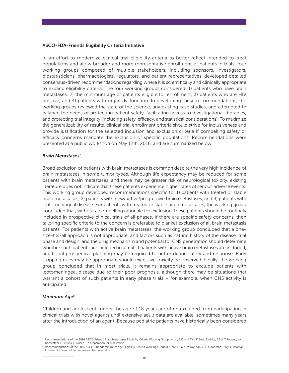#### ASCO-FDA-Friends Eligibility Criteria Initiative

In an effort to modernize clinical trial eligibility criteria to better reflect intended-to-treat populations and allow broader and more representative enrollment of patients in trials, four working groups composed of multiple stakeholders, including sponsors, investigators, biostatisticians, pharmacologists, regulators, and patient representatives, developed detailed consensus-driven recommendations regarding where it is scientifically and clinically appropriate to expand eligibility criteria. The four working groups considered: 1) patients who have brain metastases, 2) the minimum age of patients eligible for enrollment, 3) patients who are hiV positive, and 4) patients with organ dysfunction. in developing these recommendations, the working groups reviewed the state of the science, any existing case studies, and attempted to balance the needs of protecting patient safety, facilitating access to investigational therapies, and protecting trial integrity (including safety, efficacy, and statistical considerations). to maximize the generalizability of results, clinical trial enrollment criteria should strive for inclusiveness and provide justification for the selected inclusion and exclusion criteria if compelling safety or efficacy concerns mandate the exclusion of specific populations. Recommendations were presented at a public workshop on May 12th, 2016, and are summarized below.

#### *Brain Metastases*<sup>7</sup>

Broad exclusion of patients with brain metastases is common despite the very high incidence of brain metastases in some tumor types. although life expectancy may be reduced for some patients with brain metastases, and there may be greater risk of neurological toxicity, existing literature does not indicate that these patients experience higher rates of serious adverse events. This working group developed recommendations specific to: 1) patients with treated or stable brain metastases, 2) patients with new/active/progressive brain metastases, and 3) patients with leptomeningeal disease. For patients with treated or stable brain metastases, the working group concluded that, without a compelling rationale for exclusion, these patients should be routinely included in prospective clinical trials of all phases. if there are specific safety concerns, then tailoring specific criteria to the concern is preferable to blanket exclusion of all brain metastasis patients. For patients with active brain metastases, the working group concluded that a onesize-fits-all approach is not appropriate, and factors such as natural history of the disease, trial phase and design, and the drug mechanism and potential for CNS penetration should determine whether such patients are included in a trial. if patients with active brain metastases are included, additional prospective planning may be required to better define safety and response. Early stopping rules may be appropriate should excessive toxicity be observed. Finally, the working group concluded that in most trials, it remains appropriate to exclude patients with leptomeningeal disease due to their poor prognosis, although there may be situations that warrant a cohort of such patients in early phase trials – for example, when CNS activity is anticipated.

#### *Minimum Age*<sup>8</sup>

Children and adolescents under the age of 18 years are often excluded from participating in clinical trials with novel agents until extensive adult data are available, sometimes many years after the introduction of an agent. Because pediatric patients have historically been considered

<sup>7</sup> Recommendations of the 2016 ASCO-Friends Brain Metastases Eligibility Criteria Working Group (N Lin, E Kim, A Tan, K Beal, J White, J Sul, T Prowell, LA Kordestani, L Perkins, O Rosen). In preparation for publication.

<sup>8</sup> Recommendations of the 2016 ASCO-Friends Minimum Age Eligibility Criteria Working Group (L Gore, F Balis, M Donoghue, N Goodman, P lvy, G Reaman, E Rubin, K Thornton). In preparation for publication.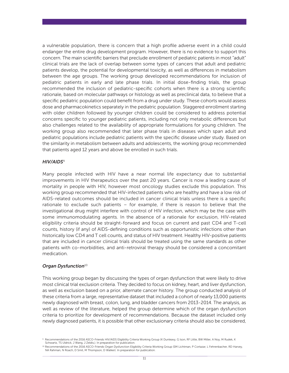a vulnerable population, there is concern that a high profile adverse event in a child could endanger the entire drug development program. however, there is no evidence to support this concern. The main scientific barriers that preclude enrollment of pediatric patients in most "adult" clinical trials are the lack of overlap between some types of cancers that adult and pediatric patients develop, the potential for developmental toxicity, as well as differences in metabolism between the age groups. The working group developed recommendations for inclusion of pediatric patients in early and late phase trials. in initial dose-finding trials, the group recommended the inclusion of pediatric-specific cohorts when there is a strong scientific rationale, based on molecular pathways or histology as well as preclinical data, to believe that a specific pediatric population could benefit from a drug under study. These cohorts would assess dose and pharmacokinetics separately in the pediatric population. staggered enrollment starting with older children followed by younger children could be considered to address potential concerns specific to younger pediatric patients, including not only metabolic differences but also challenges related to the availability of appropriate formulations for young children. The working group also recommended that later phase trials in diseases which span adult and pediatric populations include pediatric patients with the specific disease under study. Based on the similarity in metabolism between adults and adolescents, the working group recommended that patients aged 12 years and above be enrolled in such trials.

#### *HIV/AIDS*<sup>9</sup>

Many people infected with hiV have a near normal life expectancy due to substantial improvements in hiV therapeutics over the past 20 years. Cancer is now a leading cause of mortality in people with HIV, however most oncology studies exclude this population. This working group recommended that HIV-infected patients who are healthy and have a low risk of AIDS-related outcomes should be included in cancer clinical trials unless there is a specific rationale to exclude such patients – for example, if there is reason to believe that the investigational drug might interfere with control of hiV infection, which may be the case with some immunomodulating agents. In the absence of a rationale for exclusion, HIV-related eligibility criteria should be straight-forward and focus on current and past CD4 and T-cell counts, history (if any) of AIDS-defining conditions such as opportunistic infections other than historically low CD4 and T cell counts, and status of HIV treatment. Healthy HIV-positive patients that are included in cancer clinical trials should be treated using the same standards as other patients with co-morbidities, and anti-retroviral therapy should be considered a concomitant medication.

#### **Organ Dysfunction**<sup>10</sup>

This working group began by discussing the types of organ dysfunction that were likely to drive most clinical trial exclusion criteria. They decided to focus on kidney, heart, and liver dysfunction, as well as exclusion based on a prior, alternate cancer history. The group conducted analysis of these criteria from a large, representative dataset that included a cohort of nearly 13,000 patients newly diagnosed with breast, colon, lung, and bladder cancers from 2013-2014. The analysis, as well as review of the literature, helped the group determine which of the organ dysfunction criteria to prioritize for development of recommendations. Because the dataset included only newly diagnosed patients, it is possible that other exclusionary criteria should also be considered,

<sup>9</sup> Recommendations of the 2016 ASCO-Friends HIV/AIDS Eligibility Criteria Working Group (K Dunleavy, G Ison, RF Little, BW Miller, A Noy, M Rudek, K Schwartz, TS Uldrick, J Wang, J Zeldis,). In preparation for publication.

<sup>10</sup> Recommendations of the 2016 ASCO-Friends Organ Dysfunction Eligibility Criteria Working Group (SM Lichtman, P Cortazar, L Fehrenbacher, RD Harvey, NA Rahman, N Roach, D Smit, M Thompson, D Walker). In preparation for publication.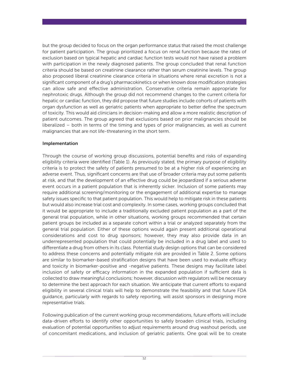but the group decided to focus on the organ performance status that raised the most challenge for patient participation. The group prioritized a focus on renal function because the rates of exclusion based on typical hepatic and cardiac function tests would not have raised a problem with participation in the newly diagnosed patients. The group concluded that renal function criteria should be based on creatinine clearance rather than serum creatinine levels. The group also proposed liberal creatinine clearance criteria in situations where renal excretion is not a significant component of a drug's pharmacokinetics or when known dose modification strategies can allow safe and effective administration. Conservative criteria remain appropriate for nephrotoxic drugs. although the group did not recommend changes to the current criteria for hepatic or cardiac function, they did propose that future studies include cohorts of patients with organ dysfunction as well as geriatric patients when appropriate to better define the spectrum of toxicity. This would aid clinicians in decision-making and allow a more realistic description of patient outcomes. The group agreed that exclusions based on prior malignancies should be liberalized – both in terms of the timing and types of prior malignancies, as well as current malignancies that are not life-threatening in the short term.

#### Implementation

through the course of working group discussions, potential benefits and risks of expanding eligibility criteria were identified (Table 1). As previously stated, the primary purpose of eligibility criteria is to protect the safety of patients presumed to be at a higher risk of experiencing an adverse event. Thus, significant concerns are that use of broader criteria may put some patients at risk, and that the development of an effective drug could be jeopardized if a serious adverse event occurs in a patient population that is inherently sicker. inclusion of some patients may require additional screening/monitoring or the engagement of additional expertise to manage safety issues specific to that patient population. This would help to mitigate risk in these patients but would also increase trial cost and complexity. in some cases, working groups concluded that it would be appropriate to include a traditionally excluded patient population as a part of the general trial population, while in other situations, working groups recommended that certain patient groups be included as a separate cohort within a trial or analyzed separately from the general trial population. either of these options would again present additional operational considerations and cost to drug sponsors; however, they may also provide data in an underrepresented population that could potentially be included in a drug label and used to differentiate a drug from others in its class. Potential study design options that can be considered to address these concerns and potentially mitigate risk are provided in Table 2. Some options are similar to biomarker-based stratification designs that have been used to evaluate efficacy and toxicity in biomarker-positive and -negative patients. These designs may facilitate label inclusion of safety or efficacy information in the expanded population if sufficient data is collected to draw meaningful conclusions; however, discussion with regulators will be necessary to determine the best approach for each situation. We anticipate that current efforts to expand eligibility in several clinical trials will help to demonstrate the feasibility and that future FDA guidance, particularly with regards to safety reporting, will assist sponsors in designing more representative trials.

Following publication of the current working group recommendations, future efforts will include data-driven efforts to identify other opportunities to safely broaden clinical trials, including evaluation of potential opportunities to adjust requirements around drug washout periods, use of concomitant medications, and inclusion of geriatric patients. one goal will be to create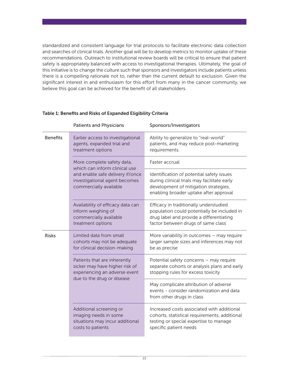standardized and consistent language for trial protocols to facilitate electronic data collection and searches of clinical trials. Another goal will be to develop metrics to monitor uptake of these recommendations. Outreach to institutional review boards will be critical to ensure that patient safety is appropriately balanced with access to investigational therapies. Ultimately, the goal of this initiative is to change the culture such that sponsors and investigators include patients unless there is a compelling rationale not to, rather than the current default to exclusion. Given the significant interest in and enthusiasm for this effort from many in the cancer community, we believe this goal can be achieved for the benefit of all stakeholders.

|                 | <b>Patients and Physicians</b>                                                                                                                             | Sponsors/Investigators                                                                                                                                                      |
|-----------------|------------------------------------------------------------------------------------------------------------------------------------------------------------|-----------------------------------------------------------------------------------------------------------------------------------------------------------------------------|
| <b>Benefits</b> | Earlier access to investigational<br>agents, expanded trial and<br>treatment options                                                                       | Ability to generalize to "real-world"<br>patients, and may reduce post-marketing<br>requirements.                                                                           |
|                 | More complete safety data,<br>which can inform clinical use<br>and enable safe delivery if/once<br>investigational agent becomes<br>commercially available | Faster accrual                                                                                                                                                              |
|                 |                                                                                                                                                            | Identification of potential safety issues<br>during clinical trials may facilitate early<br>development of mitigation strategies,<br>enabling broader uptake after approval |
|                 | Availability of efficacy data can<br>inform weighing of<br>commercially available<br>treatment options                                                     | Efficacy in traditionally understudied<br>population could potentially be included in<br>drug label and provide a differentiating<br>factor between drugs of same class     |
| <b>Risks</b>    | Limited data from small<br>cohorts may not be adequate<br>for clinical decision-making                                                                     | More variability in outcomes - may require<br>larger sample sizes and inferences may not<br>be as precise                                                                   |
|                 | Patients that are inherently<br>sicker may have higher risk of<br>experiencing an adverse event<br>due to the drug or disease                              | Potential safety concerns - may require<br>separate cohorts or analysis plans and early<br>stopping rules for excess toxicity                                               |
|                 |                                                                                                                                                            | May complicate attribution of adverse<br>events - consider randomization and data<br>from other drugs in class                                                              |
|                 | Additional screening or<br>imaging needs in some<br>situations may incur additional<br>costs to patients                                                   | Increased costs associated with additional<br>cohorts, statistical requirements, additional<br>testing or special expertise to manage<br>specific patient needs             |

#### Table 1: Benefits and Risks of Expanded Eligibility Criteria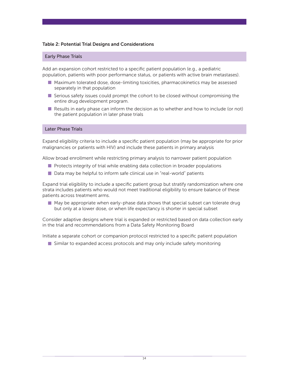#### Table 2: Potential Trial Designs and Considerations

#### Early Phase Trials

Add an expansion cohort restricted to a specific patient population (e.g., a pediatric population, patients with poor performance status, or patients with active brain metastases).

- **Maximum tolerated dose, dose-limiting toxicities, pharmacokinetics may be assessed** separately in that population
- $\blacksquare$  Serious safety issues could prompt the cohort to be closed without compromising the entire drug development program.
- $\blacksquare$  Results in early phase can inform the decision as to whether and how to include (or not) the patient population in later phase trials

#### Later Phase Trials

Expand eligibility criteria to include a specific patient population (may be appropriate for prior malignancies or patients with HIV) and include these patients in primary analysis

allow broad enrollment while restricting primary analysis to narrower patient population

- Protects integrity of trial while enabling data collection in broader populations
- $\blacksquare$  Data may be helpful to inform safe clinical use in "real-world" patients

Expand trial eligibility to include a specific patient group but stratify randomization where one strata includes patients who would not meet traditional eligibility to ensure balance of these patients across treatment arms.

 $\blacksquare$  May be appropriate when early-phase data shows that special subset can tolerate drug but only at a lower dose, or when life expectancy is shorter in special subset

Consider adaptive designs where trial is expanded or restricted based on data collection early in the trial and recommendations from a Data Safety Monitoring Board

initiate a separate cohort or companion protocol restricted to a specific patient population

 $\blacksquare$  Similar to expanded access protocols and may only include safety monitoring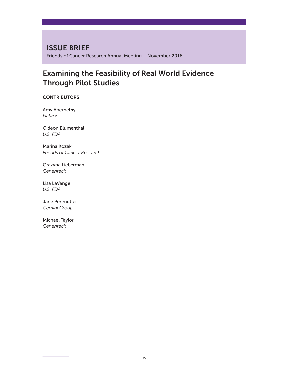ISSUE BRIEF Friends of Cancer Research Annual Meeting – November 2016

## Examining the Feasibility of Real World Evidence Through Pilot Studies

**CONTRIBUTORS** 

Amy Abernethy *Flatiron*

Gideon Blumenthal *U.S. FDA*

Marina Kozak *Friends of Cancer Research*

Grazyna Lieberman *Genentech*

Lisa LaVange *U.S. FDA*

Jane Perlmutter *Gemini Group*

Michael Taylor *Genentech*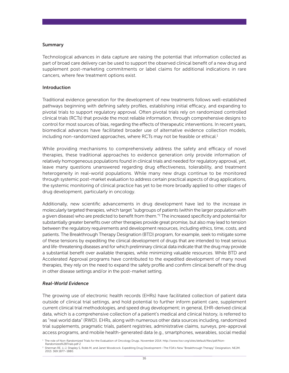#### Summary

Technological advances in data capture are raising the potential that information collected as part of broad care delivery can be used to support the observed clinical benefit of a new drug and supplement post-marketing commitments or label claims for additional indications in rare cancers, where few treatment options exist.

#### Introduction

traditional evidence generation for the development of new treatments follows well-established pathways beginning with defining safety profiles, establishing initial efficacy, and expanding to pivotal trials to support regulatory approval. often pivotal trials rely on randomized controlled clinical trials (RCTs) that provide the most reliable information, through comprehensive designs to control for most sources of bias, regarding the effects of therapeutic interventions. in recent years, biomedical advances have facilitated broader use of alternative evidence collection models, including non-randomized approaches, where RCTs may not be feasible or ethical. $1$ 

While providing mechanisms to comprehensively address the safety and efficacy of novel therapies, these traditional approaches to evidence generation only provide information of relatively homogeneous populations found in clinical trials and needed for regulatory approval, yet, leave many questions unanswered regarding drug effectiveness, tolerability, and treatment heterogeneity in real-world populations. While many new drugs continue to be monitored through systemic post-market evaluation to address certain practical aspects of drug applications, the systemic monitoring of clinical practice has yet to be more broadly applied to other stages of drug development, particularly in oncology.

additionally, new scientific advancements in drug development have led to the increase in molecularly targeted therapies, which target "subgroups of patients (within the larger population with a given disease) who are predicted to benefit from them."<sup>2</sup> The increased specificity and potential for substantially greater benefits over other therapies provide great promise, but also may lead to tension between the regulatory requirements and development resources, including ethics, time, costs, and patients. The Breakthrough Therapy Designation (BTD) program, for example, seek to mitigate some of these tensions by expediting the clinical development of drugs that are intended to treat serious and life-threatening diseases and for which preliminary clinical data indicate that the drug may provide a substantial benefit over available therapies, while minimizing valuable resources. While BTD and accelerated approval programs have contributed to the expedited development of many novel therapies, they rely on the need to expand the safety profile and confirm clinical benefit of the drug in other disease settings and/or in the post-market setting.

#### *Real-World Evidence*

The growing use of electronic health records (EHRs) have facilitated collection of patient data outside of clinical trial settings, and hold potential to further inform patient care, supplement current clinical trial methodologies, and speed drug development; in general, EHR-derived clinical data, which is a comprehensive collection of a patient's medical and clinical history, is referred to as "real world data" (RWD). EHRs, along with numerous other data sources including, randomized trial supplements, pragmatic trials, patient registries, administrative claims, surveys, pre-approval access programs, and mobile health-generated data (e.g., smartphones, wearables, social media)

Randomized%2BTrials.pdf 2

<sup>&</sup>lt;sup>1</sup> The role of Non-Randomized Trials for the Evaluation of Oncology Drugs. November 2014. http://www.focr.org/sites/default/files/pdf/Non-

<sup>&</sup>lt;sup>2</sup> Sherman RE, Li J, Shapley S, Robb M, and Janet Woodcock. Expediting Drug Development—The FDA's New "Breakthrough Therapy" Designation, NEJM. 2013. 369:1877–1880.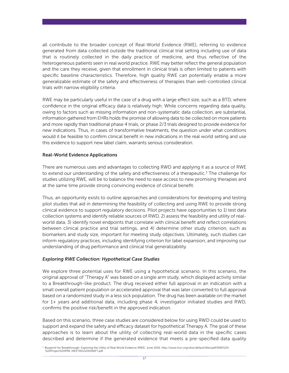all contribute to the broader concept of Real-World Evidence (RWE), referring to evidence generated from data collected outside the traditional clinical trial setting including use of data that is routinely collected in the daily practice of medicine, and thus reflective of the heterogeneous patients seen in real world practice. RWE may better reflect the general population and the care they receive, given that enrollment in clinical trials is often limited to patients with specific baseline characteristics. Therefore, high quality RWE can potentially enable a more generalizable estimate of the safety and effectiveness of therapies than well-controlled clinical trials with narrow eligibility criteria.

RWE may be particularly useful in the case of a drug with a large effect size, such as a BTD, where confidence in the original efficacy data is relatively high. While concerns regarding data quality, owing to factors such as missing information and non-systematic data collection, are substantial, information gathered from EHRs holds the promise of allowing data to be collected on more patients and more rapidly than traditional phase 4 trials, or phase 2/3 trials designed to provide evidence for new indications. Thus, in cases of transformative treatments, the question under what conditions would it be feasible to confirm clinical benefit in new indications in the real world setting and use this evidence to support new label claim, warrants serious consideration.

#### Real-World Evidence Applications

There are numerous uses and advantages to collecting RWD and applying it as a source of RWE to extend our understanding of the safety and effectiveness of a therapeutic.<sup>3</sup> The challenge for studies utilizing RWE, will be to balance the need to ease access to new promising therapies and at the same time provide strong convincing evidence of clinical benefit.

Thus, an opportunity exists to outline approaches and considerations for developing and testing pilot studies that aid in determining the feasibility of collecting and using RWE to provide strong clinical evidence to support regulatory decisions. Pilot projects have opportunities to 1) test data collection systems and identify reliable sources of RWD, 2) assess the feasibility and utility of realworld data, 3) identify novel endpoints that correlate with clinical benefit and reflect correlations between clinical practice and trial settings, and 4) determine other study criterion, such as biomarkers and study size, important for meeting study objectives. ultimately, such studies can inform regulatory practices, including identifying criterion for label expansion, and improving our understanding of drug performance and clinical trial generalizability.

#### *Exploring RWE Collection: Hypothetical Case Studies*

We explore three potential uses for RWE using a hypothetical scenario. In this scenario, the original approval of "Therapy A" was based on a single arm study, which displayed activity similar to a Breakthrough-like product. The drug received either full approval in an indication with a small overall patient population or accelerated approval that was later converted to full approval based on a randomized study in a less sick population. The drug has been available on the market for  $1+$  years and additional data, including phase 4, investigator initiated studies and RWD, confirms the positive risk/benefit in the approved indication.

Based on this scenario, three case studies are considered below for using RWD could be used to support and expand the safety and efficacy dataset for hypothetical Therapy A. The goal of these approaches is to learn about the utility of collecting real-world data in the specific cases described and determine if the generated evidence that meets a pre-specified data quality

<sup>&</sup>lt;sup>3</sup> Blueprint for Breakthrough: Exploring the Utility of Real World Evidence (RWE). June 2016. http://www.focr.org/sites/default/files/pdf/RWE%20-%20Project%20PRE-MEETING%20DRAFT.pdf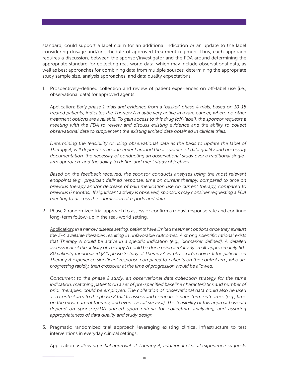standard, could support a label claim for an additional indication or an update to the label considering dosage and/or schedule of approved treatment regimen. Thus, each approach requires a discussion, between the sponsor/investigator and the FDA around determining the appropriate standard for collecting real-world data, which may include observational data, as well as best approaches for combining data from multiple sources, determining the appropriate study sample size, analysis approaches, and data quality expectations.

1. Prospectively-defined collection and review of patient experiences on off-label use (i.e., observational data) for approved agents.

application: *Early phase 1 trials and evidence from a "basket" phase 4 trials, based on 10-15 treated patients, indicates the Therapy A maybe very active in a rare cancer, where no other treatment options are available. To gain access to this drug (off-label), the sponsor requests a meeting with the FDA to review and discuss existing evidence and the ability to collect observational data to supplement the existing limited data obtained in clinical trials.*

*Determining the feasibility of using observational data as the basis to update the label of Therapy A, will depend on an agreement around the assurance of data quality and necessary documentation, the necessity of conducting an observational study over a traditional singlearm approach, and the ability to define and meet study objectives.*

*Based on the feedback received, the sponsor conducts analyses using the most relevant endpoints (e.g., physician defined response, time on current therapy, compared to time on previous therapy and/or decrease of pain medication use on current therapy, compared to previous 6 months). If significant activity is observed, sponsors may consider requesting a FDA meeting to discuss the submission of reports and data.*

2. Phase 2 randomized trial approach to assess or confirm a robust response rate and continue long-term follow-up in the real-world setting.

application: *In a narrow disease setting, patients have limited treatment options once they exhaust the 3-4 available therapies resulting in unfavorable outcomes. A strong scientific rational exists that Therapy A could be active in a specific indication (e.g., biomarker defined). A detailed assessment of the activity of Therapy A could be done using a relatively small, approximately 60- 80 patients, randomized (2:1) phase 2 study of Therapy A vs. physician's choice. If the patients on Therapy A experience significant response compared to patients on the control arm, who are progressing rapidly, then crossover at the time of progression would be allowed.*

*Concurrent to the phase 2 study, an observational data collection strategy for the same indication, matching patients on a set of pre-specified baseline characteristics and number of prior therapies, could be employed. The collection of observational data could also be used as a control arm to the phase 2 trial to assess and compare longer-term outcomes (e.g., time on the most current therapy, and even overall survival). The feasibility of this approach would depend on sponsor/FDA agreed upon criteria for collecting, analyzing, and assuring appropriateness of data quality and study design.*

3. Pragmatic randomized trial approach leveraging existing clinical infrastructure to test interventions in everyday clinical settings.

application: *Following initial approval of Therapy A, additional clinical experience suggests*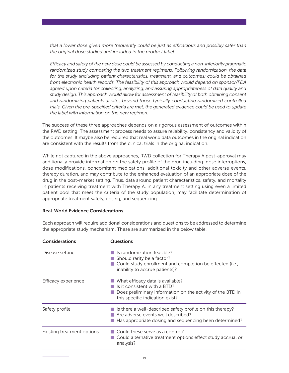*that a lower dose given more frequently could be just as efficacious and possibly safer than the original dose studied and included in the product label.*

*Efficacy and safety of the new dose could be assessed by conducting a non-inferiority pragmatic randomized study comparing the two treatment regimens. Following randomization, the data for the study (including patient characteristics, treatment, and outcomes) could be obtained from electronic health records. The feasibility of this approach would depend on sponsor/FDA agreed upon criteria for collecting, analyzing, and assuring appropriateness of data quality and study design. This approach would allow for assessment of feasibility of both obtaining consent and randomizing patients at sites beyond those typically conducting randomized controlled trials. Given the pre-specified criteria are met, the generated evidence could be used to update the label with information on the new regimen.*

The success of these three approaches depends on a rigorous assessment of outcomes within the RWD setting. The assessment process needs to assure reliability, consistency and validity of the outcomes. it maybe also be required that real world data outcomes in the original indication are consistent with the results from the clinical trials in the original indication.

While not captured in the above approaches, RWD collection for Therapy A post-approval may additionally provide information on the safety profile of the drug including: dose interruptions, dose modifications, concomitant medications, additional toxicity and other adverse events, therapy duration, and may contribute to the enhanced evaluation of an appropriate dose of the drug in the post-market setting. Thus, data around patient characteristics, safety, and mortality in patients receiving treatment with Therapy A, in any treatment setting using even a limited patient pool that meet the criteria of the study population, may facilitate determination of appropriate treatment safety, dosing, and sequencing.

#### Real-World Evidence Considerations

Each approach will require additional considerations and questions to be addressed to determine the appropriate study mechanism. These are summarized in the below table.

| <b>Considerations</b>      | <b>Questions</b>                                                                                                                                                         |  |
|----------------------------|--------------------------------------------------------------------------------------------------------------------------------------------------------------------------|--|
| Disease setting            | Is randomization feasible?<br>$\blacksquare$ Should rarity be a factor?<br>Could study enrollment and completion be effected (i.e.,<br>inability to accrue patients)?    |  |
| Efficacy experience        | What efficacy data is available?<br>Is it consistent with a BTD?<br>Does preliminary information on the activity of the BTD in<br>this specific indication exist?        |  |
| Safety profile             | $\blacksquare$ Is there a well-described safety profile on this therapy?<br>Are adverse events well described?<br>Has appropriate dosing and sequencing been determined? |  |
| Existing treatment options | $\Box$ Could these serve as a control?<br>$\blacksquare$ Could alternative treatment options effect study accrual or<br>analysis?                                        |  |
|                            |                                                                                                                                                                          |  |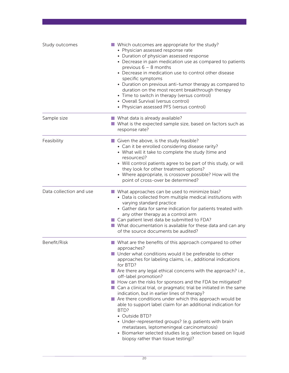| Study outcomes          | ■ Which outcomes are appropriate for the study?<br>• Physician assessed response rate<br>• Duration of physician assessed response<br>• Decrease in pain medication use as compared to patients<br>previous $6 - 8$ months<br>• Decrease in medication use to control other disease<br>specific symptoms<br>• Duration on previous anti-tumor therapy as compared to<br>duration on the most recent breakthrough therapy<br>• Time to switch in therapy (versus control)<br>• Overall Survival (versus control)<br>• Physician assessed PFS (versus control)                                                                                                                                                                                                                                                                                                               |
|-------------------------|----------------------------------------------------------------------------------------------------------------------------------------------------------------------------------------------------------------------------------------------------------------------------------------------------------------------------------------------------------------------------------------------------------------------------------------------------------------------------------------------------------------------------------------------------------------------------------------------------------------------------------------------------------------------------------------------------------------------------------------------------------------------------------------------------------------------------------------------------------------------------|
| Sample size             | ■ What data is already available?<br>What is the expected sample size, based on factors such as<br>response rate?                                                                                                                                                                                                                                                                                                                                                                                                                                                                                                                                                                                                                                                                                                                                                          |
| Feasibility             | Given the above, is the study feasible?<br>• Can it be enrolled considering disease rarity?<br>• What will it take to complete the study (time and<br>resources)?<br>• Will control patients agree to be part of this study, or will<br>they look for other treatment options?<br>• Where appropriate, is crossover possible? How will the<br>point of cross-over be determined?                                                                                                                                                                                                                                                                                                                                                                                                                                                                                           |
| Data collection and use | ■ What approaches can be used to minimize bias?<br>• Data is collected from multiple medical institutions with<br>varying standard practice<br>• Gather data for same indication for patients treated with<br>any other therapy as a control arm<br>■ Can patient level data be submitted to FDA?<br>$\blacksquare$ What documentation is available for these data and can any<br>of the source documents be audited?                                                                                                                                                                                                                                                                                                                                                                                                                                                      |
| Benefit/Risk            | What are the benefits of this approach compared to other<br>approaches?<br>Under what conditions would it be preferable to other<br>approaches for labeling claims, i.e., additional indications<br>for BTD?<br>Are there any legal ethical concerns with the approach? i.e.,<br>off-label promotion?<br>How can the risks for sponsors and the FDA be mitigated?<br>■ Can a clinical trial, or pragmatic trial be initiated in the same<br>indication, but in earlier lines of therapy?<br>$\blacksquare$ Are there conditions under which this approach would be<br>able to support label claim for an additional indication for<br>BTD?<br>• Outside BTD?<br>• Under-represented groups? (e.g. patients with brain<br>metastases, leptomeningeal carcinomatosis)<br>• Biomarker selected studies (e.g. selection based on liquid<br>biopsy rather than tissue testing)? |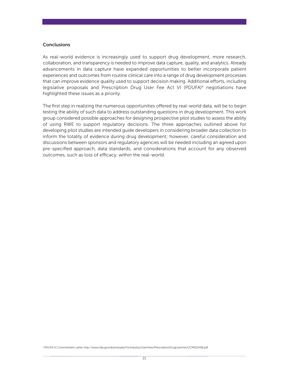#### **Conclusions**

As real-world evidence is increasingly used to support drug development, more research, collaboration, and transparency is needed to improve data capture, quality, and analytics. already advancements in data capture have expanded opportunities to better incorporate patient experiences and outcomes from routine clinical care into a range of drug development processes that can improve evidence quality used to support decision making. additional efforts, including legislative proposals and Prescription Drug User Fee Act VI (PDUFA)<sup>4</sup> negotiations have highlighted these issues as a priority.

The first step in realizing the numerous opportunities offered by real-world data, will be to begin testing the ability of such data to address outstanding questions in drug development. This work group considered possible approaches for designing prospective pilot studies to assess the ability of using RWE to support regulatory decisions. The three approaches outlined above for developing pilot studies are intended guide developers in considering broader data collection to inform the totality of evidence during drug development; however, careful consideration and discussions between sponsors and regulatory agencies will be needed including an agreed upon pre-specified approach, data standards, and considerations that account for any observed outcomes, such as loss of efficacy, within the real-world.

<sup>4</sup> PduFa Vi Commitment letter http://www.fda.gov/downloads/Forindustry/userFees/PrescriptiondruguserFee/uCM511438.pdf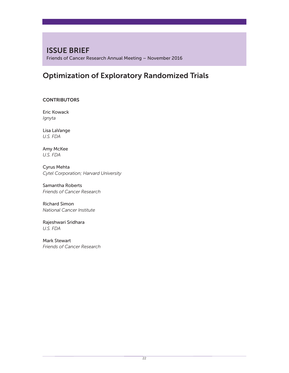## ISSUE BRIEF

Friends of Cancer Research Annual Meeting – November 2016

## Optimization of Exploratory Randomized Trials

#### **CONTRIBUTORS**

Eric Kowack *Ignyta*

Lisa LaVange *U.S. FDA*

Amy McKee *U.S. FDA*

Cyrus Mehta *Cytel Corporation; Harvard University*

Samantha Roberts *Friends of Cancer Research*

Richard Simon *National Cancer Institute*

Rajeshwari Sridhara *U.S. FDA*

Mark Stewart *Friends of Cancer Research*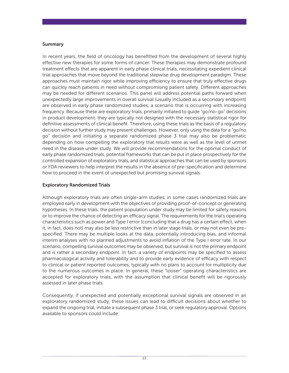#### Summary

in recent years, the field of oncology has benefitted from the development of several highly effective new therapies for some forms of cancer. these therapies may demonstrate profound treatment effects that are apparent in early phase clinical trials, necessitating expedient clinical trial approaches that move beyond the traditional stepwise drug development paradigm. These approaches must maintain rigor while improving efficiency to ensure that truly effective drugs can quickly reach patients in need without compromising patient safety. Different approaches may be needed for different scenarios. This panel will address potential paths forward when unexpectedly large improvements in overall survival (usually included as a secondary endpoint) are observed in early phase randomized studies, a scenario that is occurring with increasing frequency. Because these are exploratory trials, primarily initiated to guide "go/no-go" decisions in product development, they are typically not designed with the necessary statistical rigor for definitive assessments of clinical benefit. Therefore, using these trials as the basis of a regulatory decision without further study may present challenges. however, only using the data for a "go/no go" decision and initiating a separate randomized phase 3 trial may also be problematic depending on how compelling the exploratory trial results were as well as the level of unmet need in the disease under study. We will provide recommendations for the optimal conduct of early phase randomized trials, potential frameworks that can be put in place prospectively for the controlled expansion of exploratory trials, and statistical approaches that can be used by sponsors or Fda reviewers to help interpret the results in the absence of pre-specification and determine how to proceed in the event of unexpected but promising survival signals.

#### Exploratory Randomized Trials

although exploratory trials are often single-arm studies, in some cases randomized trials are employed early in development with the objectives of providing proof-of-concept or generating hypotheses. in these trials, the patient population under study may be limited for safety reasons or to improve the chance of detecting an efficacy signal. the requirements for the trial's operating characteristics such as power and type i error (concluding that a drug has a certain effect, when it, in fact, does not) may also be less restrictive than in later stage trials, or may not even be prespecified. There may be multiple looks at the data, potentially introducing bias, and informal interim analyses with no planned adjustments to avoid inflation of the Type I error rate. In our scenario, compelling survival outcomes may be observed, but survival is not the primary endpoint and is rather a secondary endpoint. in fact, a variety of endpoints may be specified to assess pharmacological activity and tolerability and to provide early evidence of efficacy with respect to clinical or patient reported outcomes, typically with no plans to account for multiplicity due to the numerous outcomes in place. in general, these "looser" operating characteristics are accepted for exploratory trials, with the assumption that clinical benefit will be rigorously assessed in later phase trials.

Consequently, if unexpected and potentially exceptional survival signals are observed in an exploratory randomized study, these issues can lead to difficult decisions about whether to expand the ongoing trial, initiate a subsequent phase 3 trial, or seek regulatory approval. Options available to sponsors could include: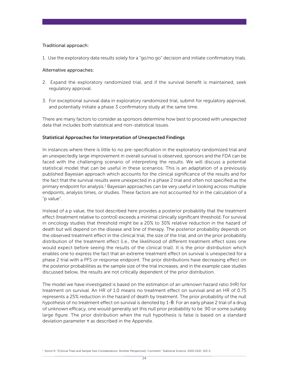#### Traditional approach:

1. Use the exploratory data results solely for a "go/no go" decision and initiate confirmatory trials.

#### Alternative approaches:

- 2. Expand the exploratory randomized trial, and if the survival benefit is maintained, seek regulatory approval.
- 3. For exceptional survival data in exploratory randomized trial, submit for regulatory approval, and potentially initiate a phase 3 confirmatory study at the same time.

There are many factors to consider as sponsors determine how best to proceed with unexpected data that includes both statistical and non-statistical issues.

#### Statistical Approaches for Interpretation of Unexpected Findings

in instances where there is little to no pre-specification in the exploratory randomized trial and an unexpectedly large improvement in overall survival is observed, sponsors and the FDA can be faced with the challenging scenario of interpreting the results. We will discuss a potential statistical model that can be useful in these scenarios. This is an adaptation of a previously published Bayesian approach which accounts for the clinical significance of the results and for the fact that the survival results were unexpected in a phase 2 trial and often not specified as the primary endpoint for analysis.<sup>1</sup> Bayesian approaches can be very useful in looking across multiple endpoints, analysis times, or studies. these factors are not accounted for in the calculation of a "p value".

instead of a p value, the tool described here provides a posterior probability that the treatment effect (treatment relative to control) exceeds a minimal clinically significant threshold. For survival in oncology studies that threshold might be a 20% to 30% relative reduction in the hazard of death but will depend on the disease and line of therapy. The posterior probability depends on the observed treatment effect in the clinical trial, the size of the trial, and on the prior probability distribution of the treatment effect (i.e., the likelihood of different treatment effect sizes one would expect before seeing the results of the clinical trial). it is the prior distribution which enables one to express the fact that an extreme treatment effect on survival is unexpected for a phase 2 trial with a PFS or response endpoint. The prior distributions have decreasing effect on the posterior probabilities as the sample size of the trial increases, and in the example case studies discussed below, the results are not critically dependent of the prior distribution.

The model we have investigated is based on the estimation of an unknown hazard ratio (HR) for treatment on survival. An HR of 1.0 means no treatment effect on survival and an HR of 0.75 represents a 25% reduction in the hazard of death by treatment. The prior probability of the null hypothesis of no treatment effect on survival is denoted by 1-θ. For an early phase 2 trial of a drug of unknown efficacy, one would generally set this null prior probability to be .90 or some suitably large figure. The prior distribution when the null hypothesis is false is based on a standard deviation parameter  $\tau$  as described in the Appendix.

1 simon r. "[Clinical trials and sample size Considerations: another Perspective]: Comment." statistical science. 2000 15(2): 103-5.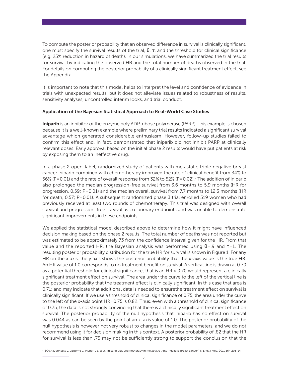To compute the posterior probability that an observed difference in survival is clinically significant, one must specify the survival results of the trial,  $\theta$ ,  $\tau$ , and the threshold for clinical significance (e.g. 25% reduction in hazard of death). in our simulations, we have summarized the trial results for survival by indicating the observed HR and the total number of deaths observed in the trial. For details on computing the posterior probability of a clinically significant treatment effect, see the Appendix.

It is important to note that this model helps to interpret the level and confidence of evidence in trials with unexpected results, but it does not alleviate issues related to robustness of results, sensitivity analyses, uncontrolled interim looks, and trial conduct.

#### Application of the Bayesian Statistical Approach to Real-World Case Studies

Iniparib is an inhibitor of the enzyme poly ADP-ribose polymerase (PARP). This example is chosen because it is a well-known example where preliminary trial results indicated a significant survival advantage which generated considerable enthusiasm. however, follow-up studies failed to confirm this effect and, in fact, demonstrated that iniparib did not inhibit PARP at clinically relevant doses. Early approval based on the initial phase 2 results would have put patients at risk by exposing them to an ineffective drug.

in a phase 2 open-label, randomized study of patients with metastatic triple negative breast cancer iniparib combined with chemotherapy improved the rate of clinical benefit from 34% to 56% (P=0.01) and the rate of overall response from 32% to 52% (P=0.02).<sup>2</sup> The addition of iniparib also prolonged the median progression-free survival from 3.6 months to 5.9 months (HR for progression, 0.59; P=0.01) and the median overall survival from 7.7 months to 12.3 months (HR for death, 0.57; P=0.01). A subsequent randomized phase 3 trial enrolled 519 women who had previously received at least two rounds of chemotherapy. This trial was designed with overall survival and progression-free survival as co-primary endpoints and was unable to demonstrate significant improvements in these endpoints.

We applied the statistical model described above to determine how it might have influenced decision making based on the phase 2 results. The total number of deaths was not reported but was estimated to be approximately 73 from the confidence interval given for the HR. From that value and the reported HR, the Bayesian analysis was performed using  $\theta$ =.9 and  $\tau$ =1. The resulting posterior probability distribution for the true HR for survival is shown in Figure 1. For any HR on the x axis, the y axis shows the posterior probability that the x-axis value is the true HR. An HR value of 1.0 corresponds to no treatment benefit on survival. A vertical line is drawn at 0.70 as a potential threshold for clinical significance; that is an HR < 0.70 would represent a clinically significant treatment effect on survival. The area under the curve to the left of the vertical line is the posterior probability that the treatment effect is clinically significant. in this case that area is 0.71; and may indicate that additional data is needed to ensurethe treatment effect on survival is clinically significant. if we use a threshold of clinical significance of 0.75, the area under the curve to the left of the x-axis point HR=0.75 is 0.82. Thus, even with a threshold of clinical significance of 0.75, the data is not strongly convincing that there is a clinically significant treatment effect on survival. The posterior probability of the null hypothesis that iniparib has no effect on survival was 0.044 as can be seen by the point at an x-axis value of 1.0. The posterior probability of the null hypothesis is however not very robust to changes in the model parameters, and we do not recommend using it for decision making in this context. A posterior probability of .82 that the HR for survival is less than .75 may not be sufficiently strong to support the conclusion that the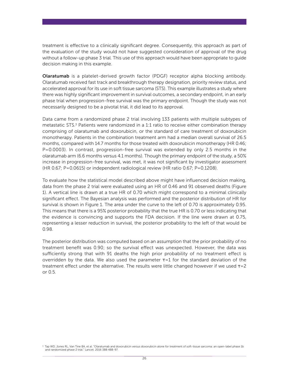treatment is effective to a clinically significant degree. Consequently, this approach as part of the evaluation of the study would not have suggested consideration of approval of the drug without a follow-up phase 3 trial. This use of this approach would have been appropriate to guide decision making in this example.

Olaratumab is a platelet-derived growth factor (PDGF) receptor alpha blocking antibody. olaratumab received fast track and breakthrough therapy designation, priority review status, and accelerated approval for its use in soft tissue sarcoma (STS). This example illustrates a study where there was highly significant improvement in survival outcomes, a secondary endpoint, in an early phase trial when progression-free survival was the primary endpoint. Though the study was not necessarily designed to be a pivotal trial, it did lead to its approval.

Data came from a randomized phase 2 trial involving 133 patients with multiple subtypes of metastatic STS.<sup>3</sup> Patients were randomized in a 1:1 ratio to receive either combination therapy comprising of olaratumab and doxorubicin, or the standard of care treatment of doxorubicin monotherapy. Patients in the combination treatment arm had a median overall survival of 26.5 months, compared with 14.7 months for those treated with doxorubicin monotherapy (HR 0.46; P=0.0003). in contrast, progression-free survival was extended by only 2.5 months in the olaratumab arm (6.6 months versus 4.1 months). Though the primary endpoint of the study, a 50% increase in progression-free survival, was met, it was not significant by investigator assessment (HR 0.67; P=0.0615) or independent radiological review (HR ratio 0.67; P=0.1208).

To evaluate how the statistical model described above might have influenced decision making, data from the phase 2 trial were evaluated using an HR of 0.46 and 91 observed deaths (Figure 1). A vertical line is drawn at a true HR of 0.70 which might correspond to a minimal clinically significant effect. The Bayesian analysis was performed and the posterior distribution of HR for survival is shown in Figure 1. The area under the curve to the left of 0.70 is approximately 0.95. This means that there is a 95% posterior probability that the true HR is 0.70 or less indicating that the evidence is convincing and supports the FDA decision. If the line were drawn at 0.75, representing a lesser reduction in survival, the posterior probability to the left of that would be 0.98.

The posterior distribution was computed based on an assumption that the prior probability of no treatment benefit was 0.90; so the survival effect was unexpected. however, the data was sufficiently strong that with 91 deaths the high prior probability of no treatment effect is overridden by the data. We also used the parameter  $\tau = 1$  for the standard deviation of the treatment effect under the alternative. The results were little changed however if we used  $\tau = 2$ or 0.5.

<sup>3</sup> Tap WD, Jones RL, Van Tine BA, et al. "Olaratumab and doxorubicin versus doxorubicin alone for treatment of soft-tissue sarcoma: an open-label phase 1b and randomized phase 2 trial." lancet. 2016 388:488-97.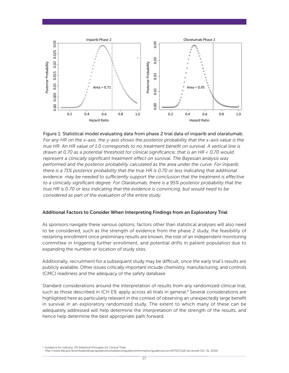



#### Additional Factors to Consider When Interpreting Findings from an Exploratory Trial

as sponsors navigate these various options, factors other than statistical analyses will also need to be considered, such as the strength of evidence from the phase 2 study, the feasibility of restarting enrollment once preliminary results are known, the role of an independent monitoring committee in triggering further enrollment, and potential drifts in patient population due to expanding the number or location of study sites.

Additionally, recruitment for a subsequent study may be difficult, once the early trial's results are publicly available. other issues critically important include chemistry, manufacturing, and controls (CMC) readiness and the adequacy of the safety database

standard considerations around the interpretation of results from any randomized clinical trial, such as those described in ICH E9, apply across all trials in general.<sup>4</sup> Several considerations are highlighted here as particularly relevant in the context of observing an unexpectedly large benefit in survival in an exploratory randomized study. The extent to which many of these can be adequately addressed will help determine the interpretation of the strength of the results, and hence help determine the best appropriate path forward.

Guidance for Industry: E9 Statistical Principles for Clinical Trials. http://www.fda.gov/downloads/drugs/guidancecomplianceregulatoryinformation/guidances/ucm073137.pdf (accessed oct. 31, 2016)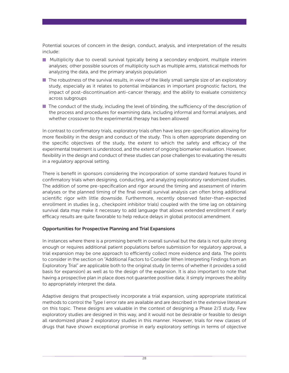Potential sources of concern in the design, conduct, analysis, and interpretation of the results include:

- **Multiplicity due to overall survival typically being a secondary endpoint, multiple interim** analyses; other possible sources of multiplicity such as multiple arms, statistical methods for analyzing the data, and the primary analysis population
- $\blacksquare$  The robustness of the survival results, in view of the likely small sample size of an exploratory study, especially as it relates to potential imbalances in important prognostic factors, the impact of post-discontinuation anti-cancer therapy, and the ability to evaluate consistency across subgroups
- $\blacksquare$  The conduct of the study, including the level of blinding, the sufficiency of the description of the process and procedures for examining data, including informal and formal analyses, and whether crossover to the experimental therapy has been allowed

In contrast to confirmatory trials, exploratory trials often have less pre-specification allowing for more flexibility in the design and conduct of the study. This is often appropriate depending on the specific objectives of the study, the extent to which the safety and efficacy of the experimental treatment is understood, and the extent of ongoing biomarker evaluation. however, flexibility in the design and conduct of these studies can pose challenges to evaluating the results in a regulatory approval setting.

There is benefit in sponsors considering the incorporation of some standard features found in confirmatory trials when designing, conducting, and analyzing exploratory randomized studies. The addition of some pre-specification and rigor around the timing and assessment of interim analyses or the planned timing of the final overall survival analysis can often bring additional scientific rigor with little downside. Furthermore, recently observed faster-than-expected enrollment in studies (e.g., checkpoint inhibitor trials) coupled with the time lag on obtaining survival data may make it necessary to add language that allows extended enrollment if early efficacy results are quite favorable to help reduce delays in global protocol amendment.

#### Opportunities for Prospective Planning and Trial Expansions

In instances where there is a promising benefit in overall survival but the data is not quite strong enough or requires additional patient populations before submission for regulatory approval, a trial expansion may be one approach to efficiently collect more evidence and data. The points to consider in the section on "additional Factors to Consider When interpreting Findings from an Exploratory Trial" are applicable both to the original study (in terms of whether it provides a solid basis for expansion) as well as to the design of the expansion. it is also important to note that having a prospective plan in place does not guarantee positive data; it simply improves the ability to appropriately interpret the data.

adaptive designs that prospectively incorporate a trial expansion, using appropriate statistical methods to control the Type I error rate are available and are described in the extensive literature on this topic. These designs are valuable in the context of designing a Phase 2/3 study. Few exploratory studies are designed in this way, and it would not be desirable or feasible to design all randomized phase 2 exploratory studies in this manner. however, trials for new classes of drugs that have shown exceptional promise in early exploratory settings in terms of objective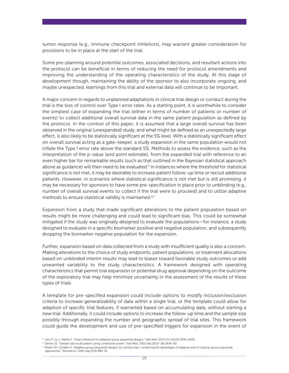tumor response (e.g., immune checkpoint inhibitors), may warrant greater consideration for provisions to be in place at the start of the trial.

some pre-planning around potential outcomes, associated decisions, and resultant actions into the protocol can be beneficial in terms of reducing the need for protocol amendments and improving the understanding of the operating characteristics of the study. At this stage of development though, maintaining the ability of the sponsor to also incorporate ongoing, and maybe unexpected, learnings from this trial and external data will continue to be important.

a major concern in regards to unplanned adaptations in clinical trial design or conduct during the trial is the loss of control over Type I error rates. As a starting point, it is worthwhile to consider the simplest case of expanding the trial (either in terms of number of patients or number of events) to collect additional overall survival data in the same patient population as defined by the protocol. in the context of this paper, it is assumed that a large overall survival has been observed in the original (unexpanded) study, and what might be defined as an unexpectedly large effect, is also likely to be statistically significant at the 5% level. With a statistically significant effect on overall survival acting as a gate-keeper, a study expansion in the same population would not inflate the Type I error rate above the standard 5%. Methods to assess the evidence, such as the interpretation of the p-value (and point estimate), from the expanded trial with reference to an even higher bar for remarkable results (such as that outlined in the Bayesian statistical approach above as guidance) will then need to be evaluated.<sup>5</sup> In instances where the threshold for statistical significance is not met, it may be desirable to increase patient follow-up time or recruit additional patients. however, in scenarios where statistical significance is not met but is still promising, it may be necessary for sponsors to have some pre-specification in place prior to unblinding (e.g., number of overall survival events to collect if the trial were to proceed) and to utilize adaptive methods to ensure statistical validity is maintained.<sup>6,7</sup>

Expansion from a study that made significant alterations to the patient population based on results might be more challenging and could lead to significant bias. This could be somewhat mitigated if the study was originally designed to evaluate the populations—for instance, a study designed to evaluate in a specific biomarker positive and negative population, and subsequently dropping the biomarker negative population for the expansion.

Further, expansion based on data collected from a study with insufficient quality is also a concern. Making alterations to the choice of study endpoints, patient populations, or treatment allocations based on unblinded interim results may lead to biases toward favorable study outcomes or add unwanted variability to the study characteristics. a framework designed with operating characteristics that permit trial expansion or potential drug approval depending on the outcome of the exploratory trial may help minimize uncertainty in the assessment of the results of these types of trials.

a template for pre-specified expansion could include options to modify inclusion/exclusion criteria to increase generalizability of data within a single trial, or the template could allow for adaption of specific trial features, if warranted based on accumulating data, without starting a new trial. Additionally, it could include options to increase the follow-up time and the sample size possibly through expanding the number and geographic spread of trial sites. This framework could guide the development and use of pre-specified triggers for expansion in the event of

<sup>5</sup>gao P, liu l, Mehta C. "exact inference for adaptive group sequential designs." stat Med. 2013 oct;32(23):3991-4005.

<sup>&</sup>lt;sup>6</sup> Denne JS. "Sample size recalculation using conditional power." Stat Med. 2001 Sep;20(17-18):2645-60.

<sup>&</sup>lt;sup>7</sup> Müller HH, Schäfer H. "Adaptive group sequential designs for clinical trials: combining the advantages of adaptive and of classical group sequential<br>approaches." Biometrics. 2001 Sep;57(3):886-91.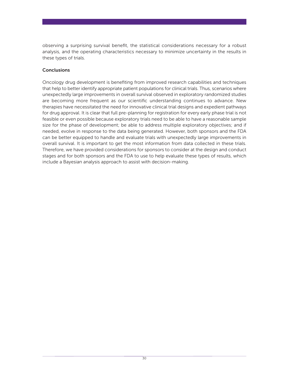observing a surprising survival benefit, the statistical considerations necessary for a robust analysis, and the operating characteristics necessary to minimize uncertainty in the results in these types of trials.

#### **Conclusions**

oncology drug development is benefiting from improved research capabilities and techniques that help to better identify appropriate patient populations for clinical trials. Thus, scenarios where unexpectedly large improvements in overall survival observed in exploratory randomized studies are becoming more frequent as our scientific understanding continues to advance. New therapies have necessitated the need for innovative clinical trial designs and expedient pathways for drug approval. it is clear that full pre-planning for registration for every early phase trial is not feasible or even possible because exploratory trials need to be able to have a reasonable sample size for the phase of development; be able to address multiple exploratory objectives; and if needed, evolve in response to the data being generated. However, both sponsors and the FDA can be better equipped to handle and evaluate trials with unexpectedly large improvements in overall survival. it is important to get the most information from data collected in these trials. Therefore, we have provided considerations for sponsors to consider at the design and conduct stages and for both sponsors and the FDA to use to help evaluate these types of results, which include a Bayesian analysis approach to assist with decision-making.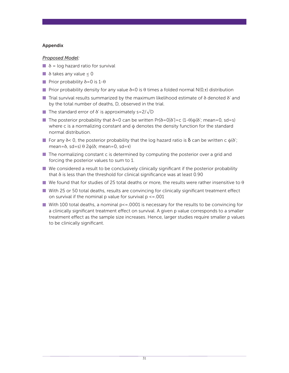#### Appendix

#### *Proposed Model:*

- $\blacksquare$   $\delta$  = log hazard ratio for survival
- $\blacksquare$   $\delta$  takes any value  $\leq 0$
- Prior probability  $\delta$ =0 is 1- $\theta$
- **Prior probability density for any value**  $\delta$  **<0 is**  $\theta$  **times a folded normal N(0,** $\tau$ **) distribution**
- Trial survival results summarized by the maximum likelihood estimate of  $\delta$  denoted  $\delta'$  and by the total number of deaths, D, observed in the trial.
- **■** The standard error of  $\delta'$  is approximately s=2/ $\sqrt{D}$
- The posterior probability that  $\delta = 0$  can be written Pr[ $\delta = 0|\delta'| = c$  (1- $\theta$ ) $\phi(\delta')$ ; mean=0, sd=s) where c is a normalizing constant and  $\phi$  denotes the density function for the standard normal distribution.
- For any  $\delta$  < 0, the posterior probability that the log hazard ratio is  $\delta$  can be written c  $\phi(\delta)$ ; mean=δ, sd=s) θ 2 $\phi$ (δ; mean=0, sd=τ)
- $\blacksquare$  The normalizing constant c is determined by computing the posterior over a grid and forcing the posterior values to sum to 1.
- $\blacksquare$  We considered a result to be conclusively clinically significant if the posterior probability that  $\delta$  is less than the threshold for clinical significance was at least 0.90
- We found that for studies of 25 total deaths or more, the results were rather insensitive to  $\theta$
- With 25 or 50 total deaths, results are convincing for clinically significant treatment effect on survival if the nominal p value for survival  $p \le 0.001$
- With 100 total deaths, a nominal  $p\leq 0.001$  is necessary for the results to be convincing for a clinically significant treatment effect on survival. a given p value corresponds to a smaller treatment effect as the sample size increases. hence, larger studies require smaller p values to be clinically significant.